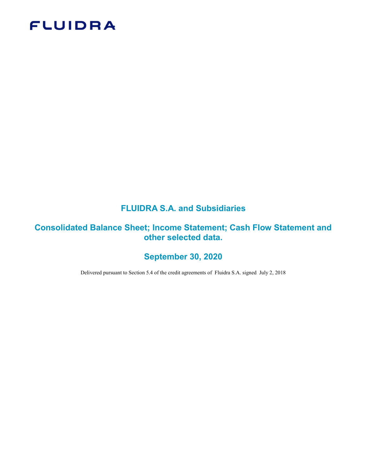# **FLUIDRA**

# FLUIDRA S.A. and Subsidiaries

# Consolidated Balance Sheet; Income Statement; Cash Flow Statement and other selected data.

# September 30, 2020

Delivered pursuant to Section 5.4 of the credit agreements of Fluidra S.A. signed July 2, 2018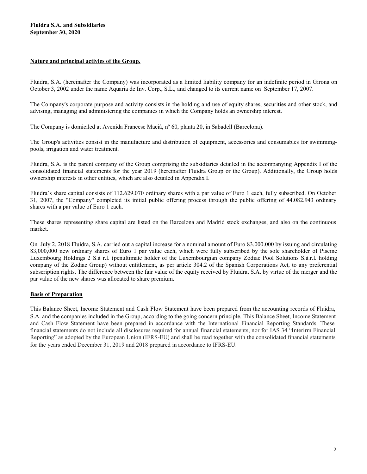#### Nature and principal activies of the Group.

Fluidra, S.A. (hereinafter the Company) was incorporated as a limited liability company for an indefinite period in Girona on October 3, 2002 under the name Aquaria de Inv. Corp., S.L., and changed to its current name on September 17, 2007.

The Company's corporate purpose and activity consists in the holding and use of equity shares, securities and other stock, and advising, managing and administering the companies in which the Company holds an ownership interest.

The Company is domiciled at Avenida Francesc Macià, nº 60, planta 20, in Sabadell (Barcelona).

The Group's activities consist in the manufacture and distribution of equipment, accessories and consumables for swimmingpools, irrigation and water treatment.

Fluidra, S.A. is the parent company of the Group comprising the subsidiaries detailed in the accompanying Appendix I of the consolidated financial statements for the year 2019 (hereinafter Fluidra Group or the Group). Additionally, the Group holds ownership interests in other entities, which are also detailed in Appendix I.

Fluidra´s share capital consists of 112.629.070 ordinary shares with a par value of Euro 1 each, fully subscribed. On October 31, 2007, the "Company" completed its initial public offering process through the public offering of 44.082.943 ordinary shares with a par value of Euro 1 each.

These shares representing share capital are listed on the Barcelona and Madrid stock exchanges, and also on the continuous market.

On July 2, 2018 Fluidra, S.A. carried out a capital increase for a nominal amount of Euro 83.000.000 by issuing and circulating 83,000,000 new ordinary shares of Euro 1 par value each, which were fully subscribed by the sole shareholder of Piscine Luxembourg Holdings 2 S.à r.l. (penultimate holder of the Luxembourgian company Zodiac Pool Solutions S.à.r.l. holding company of the Zodiac Group) without entitlement, as per article 304.2 of the Spanish Corporations Act, to any preferential subscription rights. The difference between the fair value of the equity received by Fluidra, S.A. by virtue of the merger and the par value of the new shares was allocated to share premium.

#### Basis of Preparation

This Balance Sheet, Income Statement and Cash Flow Statement have been prepared from the accounting records of Fluidra, S.A. and the companies included in the Group, according to the going concern principle. This Balance Sheet, Income Statement and Cash Flow Statement have been prepared in accordance with the International Financial Reporting Standards. These financial statements do not include all disclosures required for annual financial statements, nor for IAS 34 "Interirm Financial Reporting" as adopted by the European Union (IFRS-EU) and shall be read together with the consolidated financial statements for the years ended December 31, 2019 and 2018 prepared in accordance to IFRS-EU.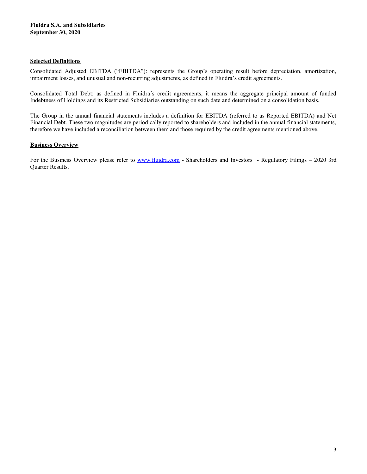#### Selected Definitions

Consolidated Adjusted EBITDA ("EBITDA"): represents the Group's operating result before depreciation, amortization, impairment losses, and unusual and non-recurring adjustments, as defined in Fluidra's credit agreements.

Consolidated Total Debt: as defined in Fluidra´s credit agreements, it means the aggregate principal amount of funded Indebtness of Holdings and its Restricted Subsidiaries outstanding on such date and determined on a consolidation basis.

The Group in the annual financial statements includes a definition for EBITDA (referred to as Reported EBITDA) and Net Financial Debt. These two magnitudes are periodically reported to shareholders and included in the annual financial statements, therefore we have included a reconciliation between them and those required by the credit agreements mentioned above.

## **Business Overview**

For the Business Overview please refer to www.fluidra.com - Shareholders and Investors - Regulatory Filings – 2020 3rd Quarter Results.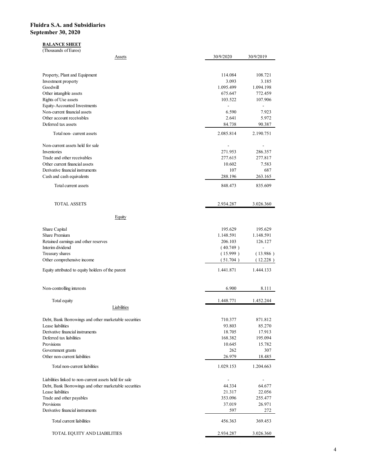## **BALANCE SHEET**

| idra S.A. and Subsidiaries<br>tember 30, 2020                                                                   |                      |                                      |
|-----------------------------------------------------------------------------------------------------------------|----------------------|--------------------------------------|
|                                                                                                                 |                      |                                      |
|                                                                                                                 |                      |                                      |
| <b>BALANCE SHEET</b>                                                                                            |                      |                                      |
| (Thousands of Euros)<br><b>Assets</b>                                                                           | 30/9/2020            | 30/9/2019                            |
|                                                                                                                 |                      |                                      |
| Property, Plant and Equipment<br>Investment property                                                            | 114.084<br>3.093     | 108.721<br>3.185                     |
| Goodwill                                                                                                        | 1.095.499            | 1.094.198                            |
| Other intangible assets<br>Rights of Use assets                                                                 | 675.647<br>103.522   | 772.459<br>107.906                   |
| Equity-Accounted Investments<br>Non-current financial assets                                                    | $\sim$<br>6.590      | $\sim$<br>7.923                      |
| Other account receivables<br>Deferred tax assets                                                                | 2.641<br>84.738      | 5.972<br>90.387                      |
| Total non-current assets                                                                                        | 2.085.814            | 2.190.751                            |
| Non-current assets held for sale                                                                                | $\sim$               | $\sim$                               |
| Inventories<br>Trade and other receivables                                                                      | 271.953<br>277.615   | 286.357<br>277.817                   |
| Other current financial assets<br>Derivative financial instruments                                              | 10.602               | 7.583                                |
| Cash and cash equivalents                                                                                       | 107<br>288.196       | 687<br>263.165                       |
| Total current assets                                                                                            | 848.473              | 835.609                              |
| <b>TOTAL ASSETS</b>                                                                                             | 2.934.287            | 3.026.360                            |
| Equity                                                                                                          |                      |                                      |
| Share Capital                                                                                                   | 195.629              | 195.629                              |
| Share Premium<br>Retained earnings and other reserves                                                           | 1.148.591<br>206.103 | 1.148.591<br>126.127                 |
| Interim dividend<br>Treasury shares                                                                             | (40.749)<br>(15.999) | $\overline{\phantom{a}}$<br>(13.986) |
| Other comprehensive income                                                                                      | (51.704)             | (12.228)                             |
| Equity attributed to equity holders of the parent                                                               | 1.441.871            | 1.444.133                            |
| Non-controlling interests                                                                                       | 6.900                | 8.111                                |
| Total equity                                                                                                    | 1.448.771            | 1.452.244                            |
| Liabilities                                                                                                     |                      |                                      |
| Debt, Bank Borrowings and other marketable securities<br>Lease liabilities                                      | 710.377<br>93.803    | 871.812<br>85.270                    |
| Derivative financial instruments<br>Deferred tax liabilities                                                    | 18.705<br>168.382    | 17.913<br>195.094                    |
| Provisions<br>Government grants                                                                                 | 10.645<br>$262\,$    | 15.782<br>307                        |
| Other non-current liabilities                                                                                   | 26.979               | 18.485                               |
| Total non-current liabilities                                                                                   | 1.029.153            | 1.204.663                            |
| Liabilities linked to non-current assets held for sale<br>Debt, Bank Borrowings and other marketable securities | $\sim$<br>44.334     | $\sim$<br>64.677                     |
| Lease liabilities                                                                                               | 21.317               | 22.056                               |
| Trade and other payables<br>Provisions                                                                          | 353.096<br>37.019    | 255.477<br>26.971                    |
| Derivative financial instruments                                                                                | 597                  | $272\,$                              |
| Total current liabilities                                                                                       | 456.363              | 369.453                              |
| TOTAL EQUITY AND LIABILITIES                                                                                    | 2.934.287            | 3.026.360                            |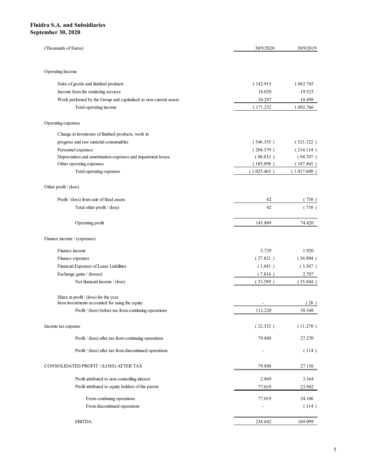| idra S.A. and Subsidiaries<br>tember 30, 2020                                            |                                    |                          |
|------------------------------------------------------------------------------------------|------------------------------------|--------------------------|
|                                                                                          |                                    |                          |
|                                                                                          |                                    |                          |
|                                                                                          |                                    |                          |
|                                                                                          |                                    |                          |
|                                                                                          |                                    |                          |
|                                                                                          |                                    |                          |
|                                                                                          |                                    |                          |
|                                                                                          |                                    |                          |
|                                                                                          |                                    |                          |
|                                                                                          |                                    |                          |
|                                                                                          |                                    |                          |
| (Thousands of Euros)                                                                     | 30/9/2020                          | 30/9/2019                |
|                                                                                          |                                    |                          |
| Operating Income                                                                         |                                    |                          |
|                                                                                          |                                    |                          |
| Sales of goods and finished products<br>Income from the rendering services               | 1.142.915<br>18.020                | 1.062.745<br>19.523      |
| Work perfomed by the Group and capitalised as non-current assets                         | 10.297                             | 10.498                   |
| Total operating income                                                                   | 1.171.232                          | 1.092.766                |
|                                                                                          |                                    |                          |
| Operating expenses                                                                       |                                    |                          |
| Change in inventories of finished products, work in                                      |                                    |                          |
| progress and raw material consumables                                                    | (546.355)                          | (521.322)                |
| Personnel expenses                                                                       | (204.379)                          | (214.114)                |
| Depreciation and amortization expenses and impairment losses                             | (88.833)                           | (94.707)                 |
| Other operating expenses<br>Total operating expenses                                     | (185.898)<br>(1.025.465)           | (187.465)<br>(1.017.608) |
|                                                                                          |                                    |                          |
| Other profit / (loss)                                                                    |                                    |                          |
|                                                                                          |                                    |                          |
| Profit / (loss) from sale of fixed assets<br>Total other profit / (loss)                 | 42<br>42                           | (738)<br>(738)           |
|                                                                                          |                                    |                          |
| Operating profit                                                                         | 145.809                            | 74.420                   |
|                                                                                          |                                    |                          |
| Finance income / (expenses)                                                              |                                    |                          |
| Finance income                                                                           | 5.729                              | 1.920                    |
| Finance expenses                                                                         | (27.821)                           | (36.904)                 |
| Financial Expenses of Lease Liabilities                                                  | (3.681)                            | (3.567)                  |
| Exchange gains / (losses)                                                                | (7.816)                            | 2.707                    |
| Net financial income / (loss)                                                            | (33.589)                           | (35.844)                 |
|                                                                                          |                                    |                          |
| Share in profit / (loss) for the year<br>from investments accounted for using the equity | $\blacksquare$                     | (28)                     |
| Profit / (loss) before tax from continuing operations                                    | 112.220                            | 38.548                   |
|                                                                                          |                                    |                          |
| Income tax expense                                                                       | (32.332)                           | (11.278)                 |
| $\mathrm{Profit}\,/\,(\mathrm{loss})$ after tax from continuing operations               | 79.888                             | 27.270                   |
| Profit / (loss) after tax from discontinued operations                                   | $\sim$                             | (114)                    |
|                                                                                          |                                    |                          |
| CONSOLIDATED PROFIT / (LOSS) AFTER TAX                                                   | 79.888                             | 27.156                   |
| Profit attributed to non-controlling interest                                            | 2.869                              | 3.164                    |
| Profit attributed to equity holders of the parent                                        | 77.019                             | 23.992                   |
|                                                                                          |                                    |                          |
| From continuing operations<br>From discontinued operations                               | 77.019<br>$\overline{\phantom{a}}$ | 24.106<br>(114)          |
|                                                                                          |                                    |                          |
|                                                                                          |                                    |                          |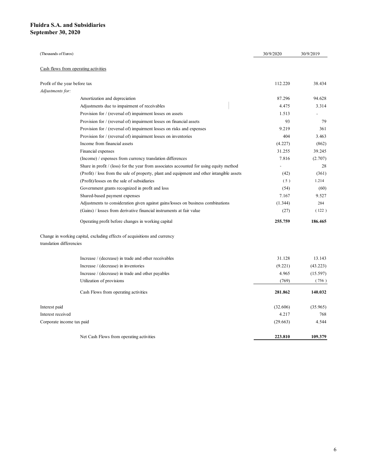| uidra S.A. and Subsidiaries                    |                                                                                                                                                                                         |           |                |
|------------------------------------------------|-----------------------------------------------------------------------------------------------------------------------------------------------------------------------------------------|-----------|----------------|
| ptember 30, 2020                               |                                                                                                                                                                                         |           |                |
|                                                |                                                                                                                                                                                         |           |                |
|                                                |                                                                                                                                                                                         |           |                |
| (Thousands of Euros)                           |                                                                                                                                                                                         | 30/9/2020 | 30/9/2019      |
|                                                |                                                                                                                                                                                         |           |                |
|                                                | Cash flows from operating activities                                                                                                                                                    |           |                |
|                                                |                                                                                                                                                                                         |           |                |
| Profit of the year before tax                  |                                                                                                                                                                                         | 112.220   | 38.434         |
| Adjustments for:                               | Amortization and depreciation                                                                                                                                                           | 87.296    | 94.628         |
|                                                |                                                                                                                                                                                         |           |                |
|                                                | Adjustments due to impairment of receivables                                                                                                                                            | 4.475     | 3.314          |
|                                                | Provision for / (reversal of) impairment losses on assets                                                                                                                               | 1.513     | $\blacksquare$ |
|                                                | Provision for / (reversal of) impairment losses on financial assets                                                                                                                     | 93        | 79             |
|                                                | Provision for / (reversal of) impairment losses on risks and expenses                                                                                                                   | 9.219     | 361            |
|                                                | Provision for / (reversal of) impairment losses on inventories<br>Income from financial assets                                                                                          | 404       | 3.463          |
|                                                |                                                                                                                                                                                         | (4.227)   | (862)          |
|                                                | Financial expenses                                                                                                                                                                      | 31.255    | 39.245         |
|                                                | (Income) / expenses from currency translation differences                                                                                                                               | 7.816     | (2.707)<br>28  |
|                                                | Share in profit $/$ (loss) for the year from associates accounted for using equity method<br>(Profit) / loss from the sale of property, plant and equipment and other intangible assets | (42)      | (361)          |
|                                                | (Profit)/losses on the sale of subsidiaries                                                                                                                                             | (5)       | 1.214          |
|                                                | Government grants recognized in profit and loss                                                                                                                                         | (54)      | (60)           |
|                                                | Shared-based payment expenses                                                                                                                                                           | 7.167     | 9.527          |
|                                                | Adjustments to consideration given against gains/losses on business combinations                                                                                                        | (1.344)   | 284            |
|                                                | (Gains) / losses from derivative financial instruments at fair value                                                                                                                    | (27)      | (122)          |
|                                                |                                                                                                                                                                                         |           |                |
|                                                | Operating profit before changes in working capital                                                                                                                                      | 255.759   | 186.465        |
| translation differencies                       | Change in working capital, excluding effects of acquisitions and currency                                                                                                               |           |                |
|                                                |                                                                                                                                                                                         |           |                |
|                                                | Increase / (decrease) in trade and other receivables                                                                                                                                    | 31.128    | 13.143         |
|                                                | Increase / (decrease) in inventories                                                                                                                                                    | (9.221)   | (43.223)       |
|                                                | Increase / (decrease) in trade and other payables                                                                                                                                       | 4.965     | (15.597)       |
|                                                | Utilization of provisions                                                                                                                                                               | (769)     | (756)          |
|                                                | Cash Flows from operating activities                                                                                                                                                    | 281.862   | 140.032        |
| Interest paid                                  |                                                                                                                                                                                         | (32.606)  | (35.965)       |
|                                                |                                                                                                                                                                                         | 4.217     | 768            |
|                                                |                                                                                                                                                                                         | (29.663)  | 4.544          |
| Interest received<br>Corporate income tax paid |                                                                                                                                                                                         |           |                |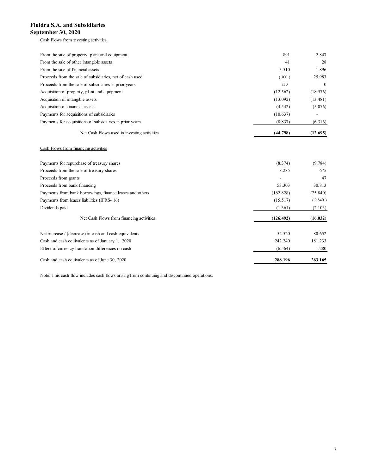#### Cash Flows from investing activities

| idra S.A. and Subsidiaries                               |                          |                |
|----------------------------------------------------------|--------------------------|----------------|
| tember 30, 2020                                          |                          |                |
| Cash Flows from investing activities                     |                          |                |
| From the sale of property, plant and equipment           | 891                      | 2.847          |
| From the sale of other intangible assets                 | 41                       | 28             |
| From the sale of financial assets                        | 3.510                    | 1.896          |
| Proceeds from the sale of subsidiaries, net of cash used | (300)                    | 25.983         |
| Proceeds from the sale of subsidiaries in prior years    | 730                      | $\overline{0}$ |
| Acquisition of property, plant and equipment             | (12.562)                 | (18.576)       |
| Acquisition of intangible assets                         | (13.092)                 | (13.481)       |
| Acquisition of financial assets                          | (4.542)                  | (5.076)        |
| Payments for acquisitions of subsidiaries                | (10.637)                 | $\sim$         |
| Payments for acquisitions of subsidiaries in prior years | (8.837)                  | (6.316)        |
| Net Cash Flows used in investing activities              | (44.798)                 | (12.695)       |
| Cash Flows from financing activities                     |                          |                |
| Payments for repurchase of treasury shares               | (8.374)                  | (9.784)        |
| Proceeds from the sale of treasury shares                | 8.285                    | 675            |
| Proceeds from grants                                     | $\overline{\phantom{a}}$ | $47\,$         |
| Proceeds from bank financing                             | 53.303                   | 30.813         |
| Payments from bank borrowings, finance leases and others | (162.828)                | (25.840)       |
| Payments from leases liabilities (IFRS-16)               | (15.517)                 | (9.840)        |
| Dividends paid                                           | (1.361)                  | (2.103)        |
| Net Cash Flows from financing activities                 | (126.492)                | (16.032)       |
| Net increase / (decrease) in cash and cash equivalents   | 52.520                   | 80.652         |
|                                                          |                          |                |

## Cash Flows from financing activities

| 891       | 2.847          |
|-----------|----------------|
| 41        | 28             |
| 3.510     | 1.896          |
| (300)     | 25.983         |
| 730       | $\bf{0}$       |
| (12.562)  | (18.576)       |
| (13.092)  | (13.481)       |
| (4.542)   | (5.076)        |
| (10.637)  | $\blacksquare$ |
| (8.837)   | (6.316)        |
| (44.798)  | (12.695)       |
|           |                |
| (8.374)   | (9.784)        |
| 8.285     | 675            |
|           | 47             |
| 53.303    | 30.813         |
| (162.828) | (25.840)       |
| (15.517)  | (9.840)        |
| (1.361)   | (2.103)        |
| (126.492) | (16.032)       |
| 52.520    | 80.652         |
| 242.240   | 181.233        |
| (6.564)   | 1.280          |
|           |                |
|           |                |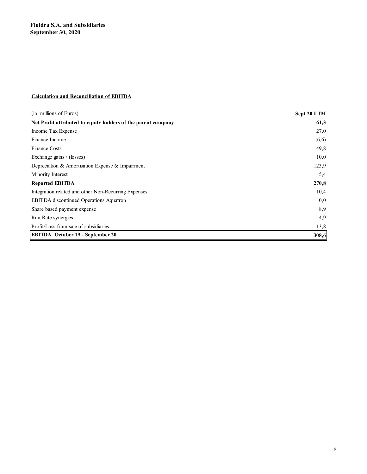## Calculation and Reconciliation of EBITDA

| <b>Fluidra S.A. and Subsidiaries</b>                          |             |
|---------------------------------------------------------------|-------------|
| September 30, 2020                                            |             |
|                                                               |             |
|                                                               |             |
|                                                               |             |
|                                                               |             |
|                                                               |             |
|                                                               |             |
| <b>Calculation and Reconciliation of EBITDA</b>               |             |
|                                                               |             |
| (in millions of Euros)                                        | Sept 20 LTM |
| Net Profit attributed to equity holders of the parent company | 61,3        |
| Income Tax Expense                                            | 27,0        |
| Finance Income                                                | (6,6)       |
| Finance Costs                                                 | 49,8        |
| Exchange gains / (losses)                                     | 10,0        |
| Depreciation & Amortisation Expense & Impairment              | 123,9       |
| Minority Interest                                             | 5,4         |
| <b>Reported EBITDA</b>                                        | 270,8       |
| Integration related and other Non-Recurring Expenses          | 10,4        |
| EBITDA discontinued Operations Aquatron                       | 0,0         |
| Share based payment expense                                   | 8,9         |
| Run Rate synergies                                            | 4,9         |
| Profit/Loss from sale of subsidiaries                         | 13,8        |
| <b>EBITDA</b> October 19 - September 20                       | 308,6       |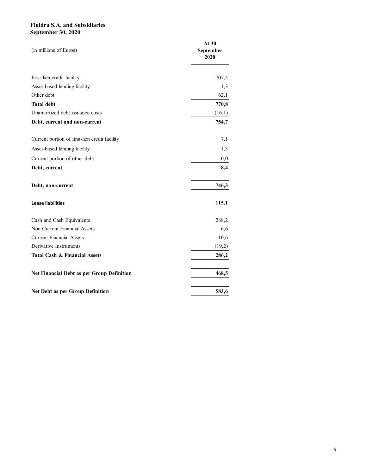| <b>Fluidra S.A. and Subsidiaries</b><br><b>September 30, 2020</b> |           |
|-------------------------------------------------------------------|-----------|
|                                                                   |           |
|                                                                   |           |
|                                                                   | At 30     |
| (in millions of Euros)                                            | September |
|                                                                   | 2020      |
|                                                                   |           |
| First-lien credit facility                                        | 707,4     |
| Asset-based lending facility                                      | 1,3       |
| Other debt                                                        | 62,1      |
| <b>Total debt</b>                                                 | 770,8     |
| Unamortized debt issuance costs                                   | (16,1)    |
| Debt, current and non-current                                     | 754,7     |
| Current portion of first-lien credit facility                     | 7,1       |
| Asset-based lending facility                                      | 1,3       |
| Current portion of other debt                                     | $_{0,0}$  |
| Debt, current                                                     | 8,4       |
| Debt, non-current                                                 | 746,3     |
| <b>Lease liabilities</b>                                          | 115,1     |
| Cash and Cash Equivalents                                         | 288,2     |
| Non Current Financial Assets                                      | 6,6       |
| <b>Current Financial Assets</b>                                   | 10,6      |
| Derivative Instruments                                            | (19,2)    |
| Total Cash & Financial Assets                                     | 286,2     |
| Net Financial Debt as per Group Definition                        | 468,5     |
| Net Debt as per Group Definition                                  | 583,6     |